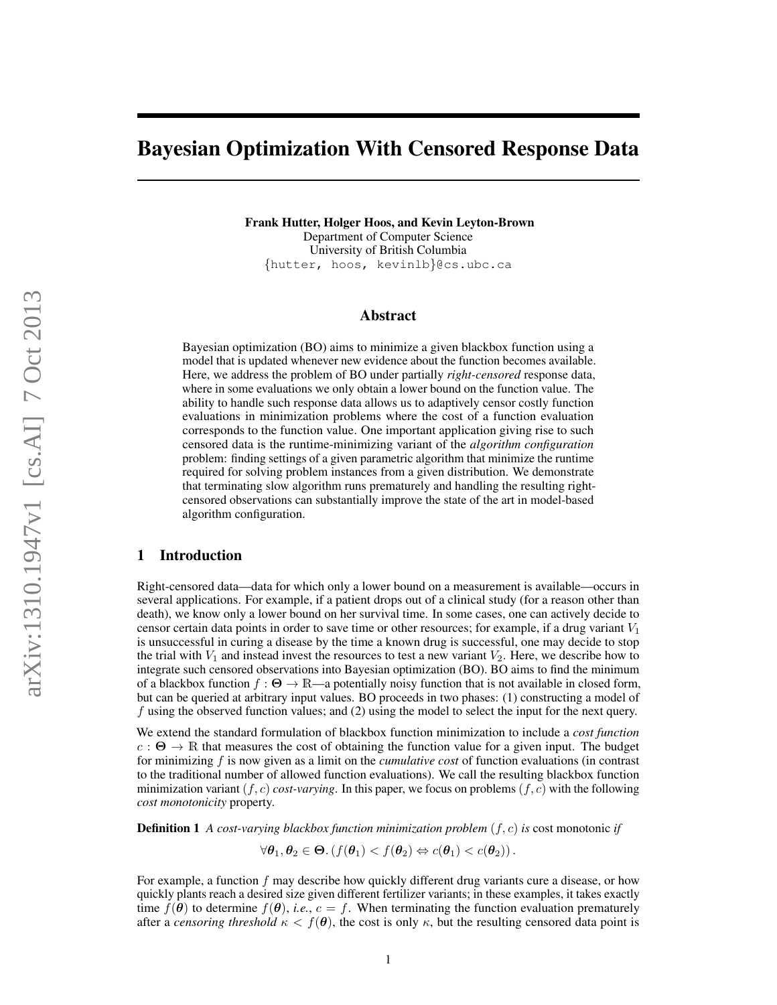# Bayesian Optimization With Censored Response Data

Frank Hutter, Holger Hoos, and Kevin Leyton-Brown Department of Computer Science University of British Columbia {hutter, hoos, kevinlb}@cs.ubc.ca

#### Abstract

Bayesian optimization (BO) aims to minimize a given blackbox function using a model that is updated whenever new evidence about the function becomes available. Here, we address the problem of BO under partially *right-censored* response data, where in some evaluations we only obtain a lower bound on the function value. The ability to handle such response data allows us to adaptively censor costly function evaluations in minimization problems where the cost of a function evaluation corresponds to the function value. One important application giving rise to such censored data is the runtime-minimizing variant of the *algorithm configuration* problem: finding settings of a given parametric algorithm that minimize the runtime required for solving problem instances from a given distribution. We demonstrate that terminating slow algorithm runs prematurely and handling the resulting rightcensored observations can substantially improve the state of the art in model-based algorithm configuration.

#### 1 Introduction

Right-censored data—data for which only a lower bound on a measurement is available—occurs in several applications. For example, if a patient drops out of a clinical study (for a reason other than death), we know only a lower bound on her survival time. In some cases, one can actively decide to censor certain data points in order to save time or other resources; for example, if a drug variant  $V_1$ is unsuccessful in curing a disease by the time a known drug is successful, one may decide to stop the trial with  $V_1$  and instead invest the resources to test a new variant  $V_2$ . Here, we describe how to integrate such censored observations into Bayesian optimization (BO). BO aims to find the minimum of a blackbox function  $f : \Theta \to \mathbb{R}$ —a potentially noisy function that is not available in closed form, but can be queried at arbitrary input values. BO proceeds in two phases: (1) constructing a model of f using the observed function values; and (2) using the model to select the input for the next query.

We extend the standard formulation of blackbox function minimization to include a *cost function*  $c : \Theta \to \mathbb{R}$  that measures the cost of obtaining the function value for a given input. The budget for minimizing f is now given as a limit on the *cumulative cost* of function evaluations (in contrast to the traditional number of allowed function evaluations). We call the resulting blackbox function minimization variant  $(f, c)$  *cost-varying*. In this paper, we focus on problems  $(f, c)$  with the following *cost monotonicity* property.

Definition 1 *A cost-varying blackbox function minimization problem* (f, c) *is* cost monotonic *if*

 $\forall \theta_1, \theta_2 \in \Theta$ .  $(f(\theta_1) < f(\theta_2) \Leftrightarrow c(\theta_1) < c(\theta_2))$ .

For example, a function  $f$  may describe how quickly different drug variants cure a disease, or how quickly plants reach a desired size given different fertilizer variants; in these examples, it takes exactly time  $f(\theta)$  to determine  $f(\theta)$ , *i.e.*,  $c = f$ . When terminating the function evaluation prematurely after a *censoring threshold*  $\kappa < f(\theta)$ , the cost is only  $\kappa$ , but the resulting censored data point is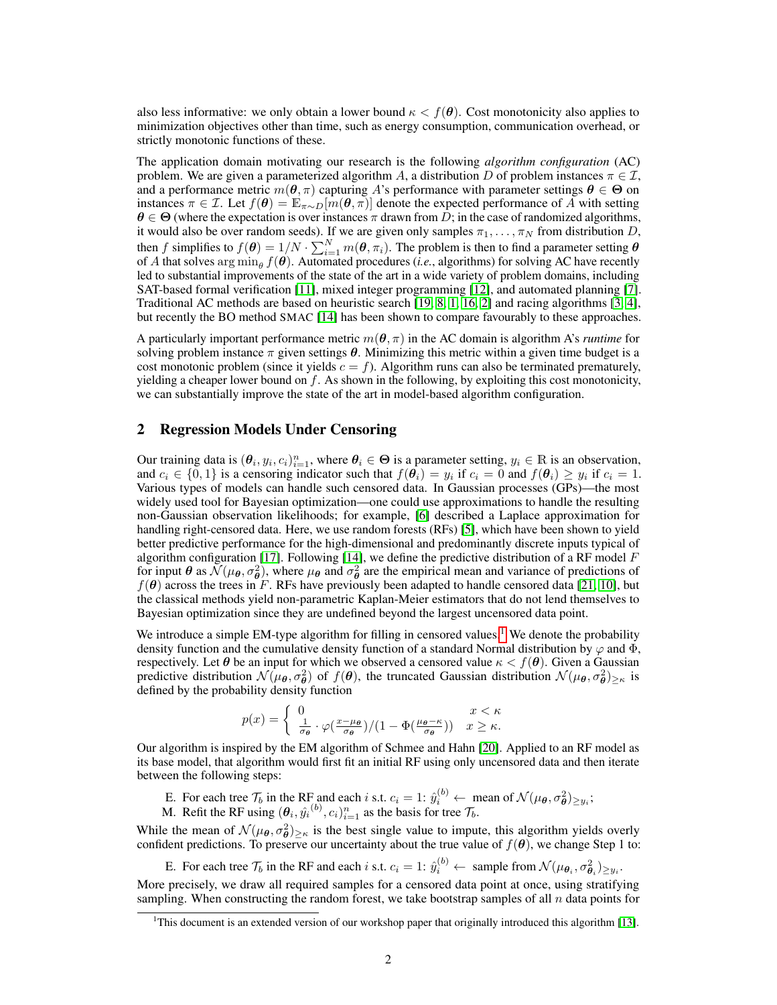also less informative: we only obtain a lower bound  $\kappa < f(\theta)$ . Cost monotonicity also applies to minimization objectives other than time, such as energy consumption, communication overhead, or strictly monotonic functions of these.

The application domain motivating our research is the following *algorithm configuration* (AC) problem. We are given a parameterized algorithm A, a distribution D of problem instances  $\pi \in \mathcal{I}$ , and a performance metric  $m(\theta, \pi)$  capturing A's performance with parameter settings  $\theta \in \Theta$  on instances  $\pi \in \mathcal{I}$ . Let  $f(\theta) = \mathbb{E}_{\pi \sim D}[m(\theta, \pi)]$  denote the expected performance of A with setting  $\theta \in \Theta$  (where the expectation is over instances  $\pi$  drawn from D; in the case of randomized algorithms, it would also be over random seeds). If we are given only samples  $\pi_1, \ldots, \pi_N$  from distribution D, then f simplifies to  $f(\theta) = 1/N \cdot \sum_{i=1}^{N} m(\theta, \pi_i)$ . The problem is then to find a parameter setting  $\theta$ of A that solves  $\arg\min_{\theta} f(\theta)$ . Automated procedures (*i.e.*, algorithms) for solving AC have recently led to substantial improvements of the state of the art in a wide variety of problem domains, including SAT-based formal verification [\[11\]](#page-6-0), mixed integer programming [\[12\]](#page-6-1), and automated planning [\[7\]](#page-6-2). Traditional AC methods are based on heuristic search [\[19,](#page-6-3) [8,](#page-6-4) [1,](#page-6-5) [16,](#page-6-6) [2\]](#page-6-7) and racing algorithms [\[3,](#page-6-8) [4\]](#page-6-9), but recently the BO method SMAC [\[14\]](#page-6-10) has been shown to compare favourably to these approaches.

A particularly important performance metric  $m(\theta, \pi)$  in the AC domain is algorithm A's *runtime* for solving problem instance  $\pi$  given settings  $\theta$ . Minimizing this metric within a given time budget is a cost monotonic problem (since it yields  $c = f$ ). Algorithm runs can also be terminated prematurely, yielding a cheaper lower bound on  $f$ . As shown in the following, by exploiting this cost monotonicity, we can substantially improve the state of the art in model-based algorithm configuration.

#### <span id="page-1-1"></span>2 Regression Models Under Censoring

Our training data is  $(\theta_i, y_i, c_i)_{i=1}^n$ , where  $\theta_i \in \Theta$  is a parameter setting,  $y_i \in \mathbb{R}$  is an observation, and  $c_i \in \{0,1\}$  is a censoring indicator such that  $f(\theta_i) = y_i$  if  $c_i = 0$  and  $f(\theta_i) \ge y_i$  if  $c_i = 1$ . Various types of models can handle such censored data. In Gaussian processes (GPs)—the most widely used tool for Bayesian optimization—one could use approximations to handle the resulting non-Gaussian observation likelihoods; for example, [\[6\]](#page-6-11) described a Laplace approximation for handling right-censored data. Here, we use random forests (RFs) [\[5\]](#page-6-12), which have been shown to yield better predictive performance for the high-dimensional and predominantly discrete inputs typical of algorithm configuration [\[17\]](#page-6-13). Following [\[14\]](#page-6-10), we define the predictive distribution of a RF model  $F$ for input  $\theta$  as  $\mathcal{N}(\mu_\theta, \sigma_\theta^2)$ , where  $\mu_\theta$  and  $\sigma_\theta^2$  are the empirical mean and variance of predictions of  $f(\theta)$  across the trees in F. RFs have previously been adapted to handle censored data [\[21,](#page-6-14) [10\]](#page-6-15), but the classical methods yield non-parametric Kaplan-Meier estimators that do not lend themselves to Bayesian optimization since they are undefined beyond the largest uncensored data point.

We introduce a simple EM-type algorithm for filling in censored values.<sup>[1](#page-1-0)</sup> We denote the probability density function and the cumulative density function of a standard Normal distribution by  $\varphi$  and  $\Phi$ , respectively. Let  $\theta$  be an input for which we observed a censored value  $\kappa < f(\theta)$ . Given a Gaussian predictive distribution  $\mathcal{N}(\mu_{\theta}, \sigma_{\theta}^2)$  of  $f(\theta)$ , the truncated Gaussian distribution  $\mathcal{N}(\mu_{\theta}, \sigma_{\theta}^2)_{\geq \kappa}$  is defined by the probability density function

$$
p(x) = \begin{cases} 0 & x < \kappa \\ \frac{1}{\sigma_{\theta}} \cdot \varphi(\frac{x-\mu_{\theta}}{\sigma_{\theta}})/(1 - \Phi(\frac{\mu_{\theta} - \kappa}{\sigma_{\theta}})) & x \geq \kappa. \end{cases}
$$

Our algorithm is inspired by the EM algorithm of Schmee and Hahn [\[20\]](#page-6-16). Applied to an RF model as its base model, that algorithm would first fit an initial RF using only uncensored data and then iterate between the following steps:

E. For each tree  $\mathcal{T}_b$  in the RF and each i s.t.  $c_i = 1$ :  $\hat{y}_i^{(b)} \leftarrow$  mean of  $\mathcal{N}(\mu_\theta, \sigma_\theta^2)_{\geq y_i}$ ;

M. Refit the RF using  $(\theta_i, \hat{y_i}^{(b)}, c_i)_{i=1}^n$  as the basis for tree  $\mathcal{T}_b$ .

While the mean of  $\mathcal{N}(\mu_\theta, \sigma_\theta^2)_{\geq \kappa}$  is the best single value to impute, this algorithm yields overly confident predictions. To preserve our uncertainty about the true value of  $f(\theta)$ , we change Step 1 to:

E. For each tree  $\mathcal{T}_b$  in the RF and each i s.t.  $c_i = 1$ :  $\hat{y}_i^{(b)} \leftarrow$  sample from  $\mathcal{N}(\mu_{\theta_i}, \sigma_{\theta_i}^2)_{\geq y_i}$ . More precisely, we draw all required samples for a censored data point at once, using stratifying sampling. When constructing the random forest, we take bootstrap samples of all  $n$  data points for

<span id="page-1-0"></span><sup>&</sup>lt;sup>1</sup>This document is an extended version of our workshop paper that originally introduced this algorithm [\[13\]](#page-6-17).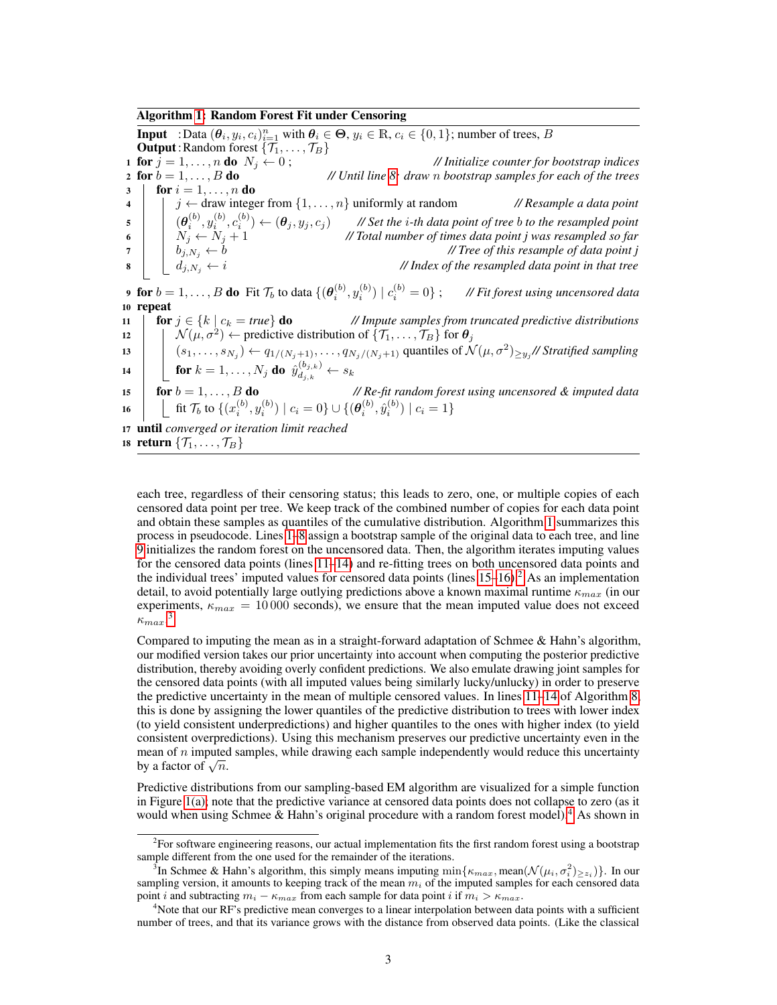#### Algorithm [1:](#page-2-0) Random Forest Fit under Censoring

<span id="page-2-3"></span><span id="page-2-2"></span><span id="page-2-1"></span><span id="page-2-0"></span>**Input** : Data  $(\theta_i, y_i, c_i)_{i=1}^n$  with  $\theta_i \in \Theta$ ,  $y_i \in \mathbb{R}$ ,  $c_i \in \{0, 1\}$ ; number of trees, B **Output:** Random forest  $\{\mathcal{T}_1, \dots, \mathcal{T}_B\}$ <br>1 **for**  $j = 1, \dots, n$  **do**  $N_i \leftarrow 0$ ; 1 **for**  $j = 1, ..., n$  **do**  $N_j \leftarrow 0$ ;<br>
2 **for**  $b = 1, ..., B$  **do** *// <i>// Initialize counter for bootstrap indices*<br> *// Until line 8: draw n bootstrap samples for each of the trees* <sup>2</sup> for b = 1, . . . , B do *// Until line [8:](#page-2-1) draw* n *bootstrap samples for each of the trees*  $3 \mid \textbf{for } i = 1, \ldots, n \textbf{ do}$ 4 |  $j \leftarrow$  draw integer from  $\{1, \ldots, n\}$  uniformly at random *// Resample a data point*  $\mathbf{s}$   $\begin{array}{|c|c|c|c|c|}\n\hline\n\mathbf{s} & \mathbf{0} & (\boldsymbol{\theta}_i^{(b)},y_i^{(b)},c_i^{(b)}) \leftarrow (\boldsymbol{\theta}_j,y_j,c_j) & \textit{ \textit{ \textit{M} Set the i-th data point of tree b to the resampled point} \end{array}$ 6  $\vert \quad \vert \quad N_j \leftarrow N_j + 1$  *// Total number of times data point j was resampled so far*  $7 \mid b_{j,N_j} \leftarrow b$  *// Tree of this resample of data point j* 8  $\vert \quad \vert \quad d_{j,N_j} \leftarrow i$  *// Index of the resampled data point in that tree* **9** for  $b = 1, \ldots, B$  do Fit  $\mathcal{T}_b$  to data  $\{(\boldsymbol{\theta}_i^{(b)}, y_i^{(b)}) \mid c_i^{(b)}\}$ // Fit forest using uncensored data <sup>10</sup> repeat 11 **for**  $j \in \{k \mid c_k = \text{true}\}$  **do** *// Impute samples from truncated predictive distributions* 12  $\left| \quad \right| \quad \mathcal{N}(\mu, \sigma^2) \leftarrow \text{predictive distribution of } \{\mathcal{T}_1, \dots, \mathcal{T}_B\} \text{ for } \boldsymbol{\theta}_j$ 13  $\big|$   $(s_1, \ldots, s_{N_j}) \leftarrow q_{1/(N_j+1)}, \ldots, q_{N_j/(N_j+1)}$  quantiles of  $\mathcal{N}(\mu, \sigma^2)_{\geq y_j}$  *// Stratified sampling* 14  $\left| \quad \right|$  for  $k=1,\ldots,N_j$  do  $\hat{y}_{d_{j,k}}^{(b_{j,k})} \leftarrow s_k$ 15 **for**  $b = 1, \ldots, B$  **do** *// Re-fit random forest using uncensored & imputed data* 16  $\left[\begin{array}{c} \left[ \begin{array}{c} \left[ \end{array}\right] \left[ \begin{array}{c} \text{fit} \ \mathcal{T}_b \text{ to } \{(x_i^{(b)}, y_i^{(b)}) \mid c_i = 0\} \cup \{(\boldsymbol{\theta}_i^{(b)}, \hat{y}_i^{(b)}) \mid c_i = 1\} \end{array}\right] \right]$ <sup>17</sup> until *converged or iteration limit reached* 18 return  $\{\mathcal{T}_1, \ldots, \mathcal{T}_B\}$ 

<span id="page-2-7"></span><span id="page-2-6"></span><span id="page-2-5"></span><span id="page-2-4"></span>each tree, regardless of their censoring status; this leads to zero, one, or multiple copies of each censored data point per tree. We keep track of the combined number of copies for each data point and obtain these samples as quantiles of the cumulative distribution. Algorithm [1](#page-2-0) summarizes this process in pseudocode. Lines [1–](#page-2-2)[8](#page-2-1) assign a bootstrap sample of the original data to each tree, and line [9](#page-2-3) initializes the random forest on the uncensored data. Then, the algorithm iterates imputing values for the censored data points (lines [11–](#page-2-4)[14\)](#page-2-5) and re-fitting trees on both uncensored data points and the individual trees' imputed values for censored data points (lines  $15-16$ ).<sup>[2](#page-2-8)</sup> As an implementation detail, to avoid potentially large outlying predictions above a known maximal runtime  $\kappa_{max}$  (in our experiments,  $\kappa_{max} = 10000$  seconds), we ensure that the mean imputed value does not exceed  $\kappa_{max}^{\text{ }3}$  $\kappa_{max}^{\text{ }3}$  $\kappa_{max}^{\text{ }3}$ 

Compared to imputing the mean as in a straight-forward adaptation of Schmee & Hahn's algorithm, our modified version takes our prior uncertainty into account when computing the posterior predictive distribution, thereby avoiding overly confident predictions. We also emulate drawing joint samples for the censored data points (with all imputed values being similarly lucky/unlucky) in order to preserve the predictive uncertainty in the mean of multiple censored values. In lines [11](#page-2-4)[–14](#page-2-5) of Algorithm [8,](#page-2-1) this is done by assigning the lower quantiles of the predictive distribution to trees with lower index (to yield consistent underpredictions) and higher quantiles to the ones with higher index (to yield consistent overpredictions). Using this mechanism preserves our predictive uncertainty even in the mean of  $n$  imputed samples, while drawing each sample independently would reduce this uncertainty mean of *n* implied<br>by a factor of  $\sqrt{n}$ .

Predictive distributions from our sampling-based EM algorithm are visualized for a simple function in Figure [1\(a\);](#page-3-0) note that the predictive variance at censored data points does not collapse to zero (as it would when using Schmee  $\&$  Hahn's original procedure with a random forest model).<sup>[4](#page-2-10)</sup> As shown in

<span id="page-2-8"></span><sup>&</sup>lt;sup>2</sup> For software engineering reasons, our actual implementation fits the first random forest using a bootstrap sample different from the one used for the remainder of the iterations.

<span id="page-2-9"></span><sup>&</sup>lt;sup>3</sup>In Schmee & Hahn's algorithm, this simply means imputing  $\min\{\kappa_{max}, \text{mean}(\mathcal{N}(\mu_i, \sigma_i^2)_{\geq z_i})\}\$ . In our sampling version, it amounts to keeping track of the mean  $m<sub>i</sub>$  of the imputed samples for each censored data point *i* and subtracting  $m_i - \kappa_{max}$  from each sample for data point *i* if  $m_i > \kappa_{max}$ .

<span id="page-2-10"></span><sup>&</sup>lt;sup>4</sup>Note that our RF's predictive mean converges to a linear interpolation between data points with a sufficient number of trees, and that its variance grows with the distance from observed data points. (Like the classical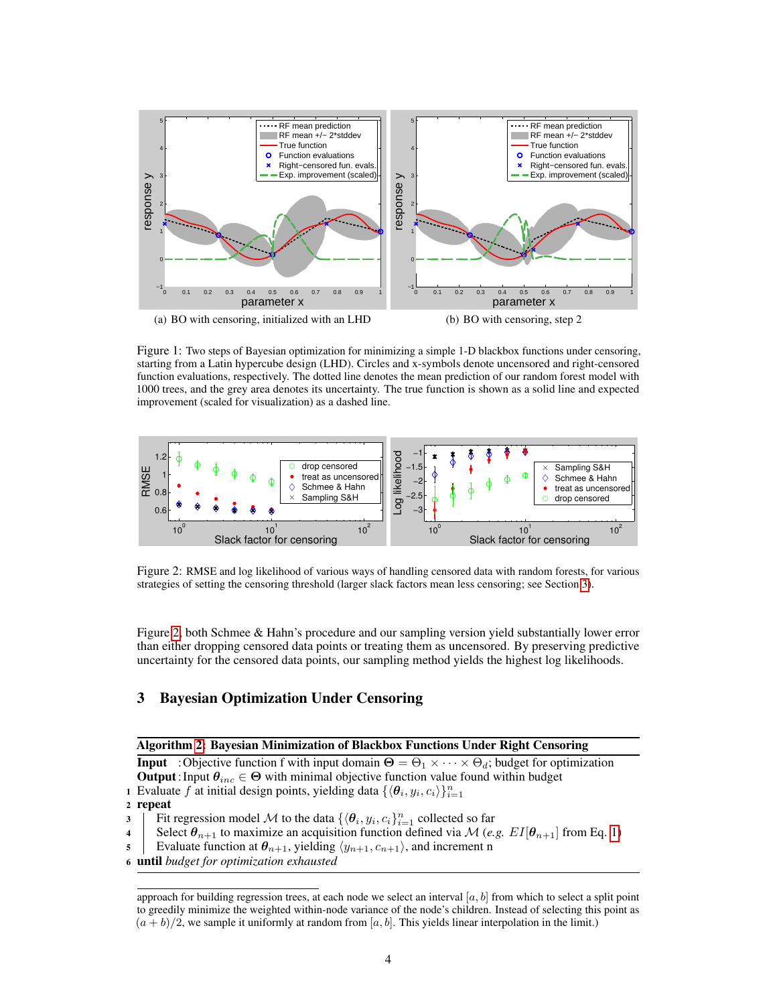<span id="page-3-0"></span>

<span id="page-3-4"></span>Figure 1: Two steps of Bayesian optimization for minimizing a simple 1-D blackbox functions under censoring, starting from a Latin hypercube design (LHD). Circles and x-symbols denote uncensored and right-censored function evaluations, respectively. The dotted line denotes the mean prediction of our random forest model with 1000 trees, and the grey area denotes its uncertainty. The true function is shown as a solid line and expected improvement (scaled for visualization) as a dashed line.



<span id="page-3-2"></span>Figure 2: RMSE and log likelihood of various ways of handling censored data with random forests, for various strategies of setting the censoring threshold (larger slack factors mean less censoring; see Section [3\)](#page-3-1).

Figure [2,](#page-3-2) both Schmee & Hahn's procedure and our sampling version yield substantially lower error than either dropping censored data points or treating them as uncensored. By preserving predictive uncertainty for the censored data points, our sampling method yields the highest log likelihoods.

## <span id="page-3-1"></span>3 Bayesian Optimization Under Censoring

#### Algorithm [2:](#page-3-3) Bayesian Minimization of Blackbox Functions Under Right Censoring

<span id="page-3-3"></span>**Input** : Objective function f with input domain  $\Theta = \Theta_1 \times \cdots \times \Theta_d$ ; budget for optimization **Output**: Input  $\theta_{inc} \in \Theta$  with minimal objective function value found within budget 1 Evaluate f at initial design points, yielding data  $\{\langle \theta_i, y_i, c_i \rangle\}_{i=1}^n$ 

<sup>2</sup> repeat

3 Fit regression model M to the data  $\{\langle \theta_i, y_i, c_i \}_{i=1}^n$  collected so far

4 Select  $\theta_{n+1}$  to maximize an acquisition function defined via M (*e.g.*  $EI[\theta_{n+1}]$  from Eq. [1\)](#page-4-0)

5 Evaluate function at  $\theta_{n+1}$ , yielding  $\langle y_{n+1}, c_{n+1} \rangle$ , and increment n

<sup>6</sup> until *budget for optimization exhausted*

approach for building regression trees, at each node we select an interval  $[a, b]$  from which to select a split point to greedily minimize the weighted within-node variance of the node's children. Instead of selecting this point as  $(a + b)/2$ , we sample it uniformly at random from [a, b]. This yields linear interpolation in the limit.)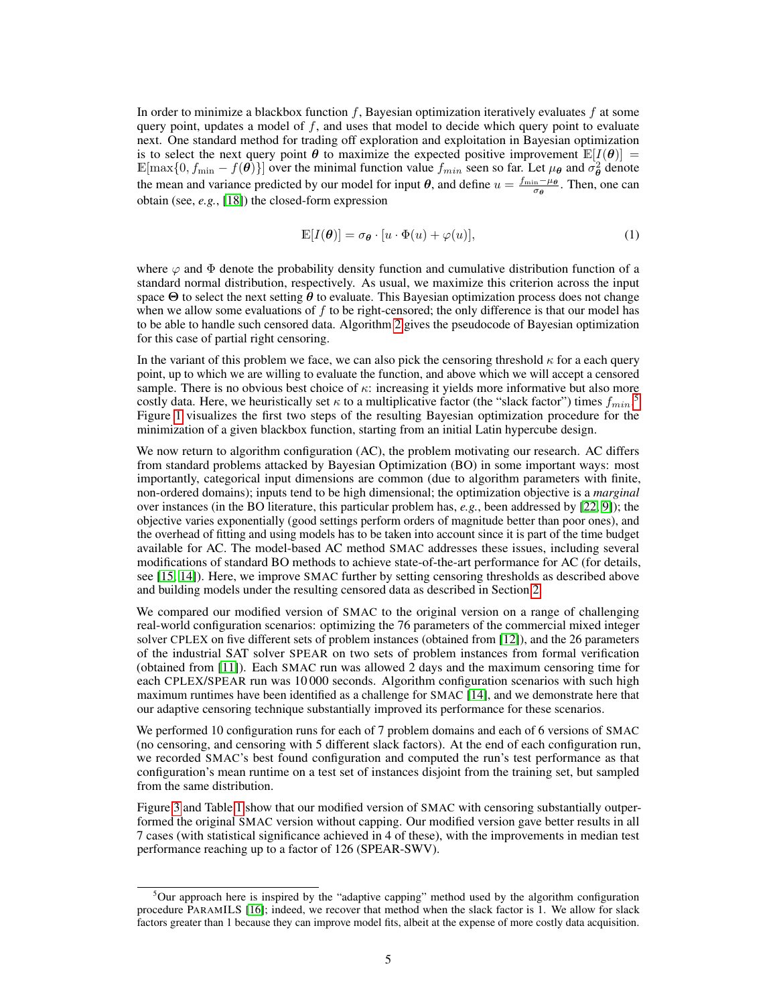In order to minimize a blackbox function  $f$ , Bayesian optimization iteratively evaluates  $f$  at some query point, updates a model of  $f$ , and uses that model to decide which query point to evaluate next. One standard method for trading off exploration and exploitation in Bayesian optimization is to select the next query point  $\theta$  to maximize the expected positive improvement  $\mathbb{E}[I(\theta)] =$  $\mathbb{E}[\max\{0, f_{\min} - f(\theta)\}]$  over the minimal function value  $f_{min}$  seen so far. Let  $\mu_{\theta}$  and  $\sigma_{\theta}^2$  denote the mean and variance predicted by our model for input  $\theta$ , and define  $u = \frac{f_{\min} - \mu_{\theta}}{\sigma_{\theta}}$ . Then, one can obtain (see, *e.g.*, [\[18\]](#page-6-18)) the closed-form expression

<span id="page-4-0"></span>
$$
\mathbb{E}[I(\boldsymbol{\theta})] = \sigma_{\boldsymbol{\theta}} \cdot [u \cdot \Phi(u) + \varphi(u)],\tag{1}
$$

where  $\varphi$  and  $\Phi$  denote the probability density function and cumulative distribution function of a standard normal distribution, respectively. As usual, we maximize this criterion across the input space  $\Theta$  to select the next setting  $\theta$  to evaluate. This Bayesian optimization process does not change when we allow some evaluations of f to be right-censored; the only difference is that our model has to be able to handle such censored data. Algorithm [2](#page-3-3) gives the pseudocode of Bayesian optimization for this case of partial right censoring.

In the variant of this problem we face, we can also pick the censoring threshold  $\kappa$  for a each query point, up to which we are willing to evaluate the function, and above which we will accept a censored sample. There is no obvious best choice of  $\kappa$ : increasing it yields more informative but also more costly data. Here, we heuristically set  $\kappa$  to a multiplicative factor (the "slack factor") times  $f_{min}$ .<sup>[5](#page-4-1)</sup> Figure [1](#page-3-4) visualizes the first two steps of the resulting Bayesian optimization procedure for the minimization of a given blackbox function, starting from an initial Latin hypercube design.

We now return to algorithm configuration (AC), the problem motivating our research. AC differs from standard problems attacked by Bayesian Optimization (BO) in some important ways: most importantly, categorical input dimensions are common (due to algorithm parameters with finite, non-ordered domains); inputs tend to be high dimensional; the optimization objective is a *marginal* over instances (in the BO literature, this particular problem has, *e.g.*, been addressed by [\[22,](#page-6-19) [9\]](#page-6-20)); the objective varies exponentially (good settings perform orders of magnitude better than poor ones), and the overhead of fitting and using models has to be taken into account since it is part of the time budget available for AC. The model-based AC method SMAC addresses these issues, including several modifications of standard BO methods to achieve state-of-the-art performance for AC (for details, see [\[15,](#page-6-21) [14\]](#page-6-10)). Here, we improve SMAC further by setting censoring thresholds as described above and building models under the resulting censored data as described in Section [2.](#page-1-1)

We compared our modified version of SMAC to the original version on a range of challenging real-world configuration scenarios: optimizing the 76 parameters of the commercial mixed integer solver CPLEX on five different sets of problem instances (obtained from [\[12\]](#page-6-1)), and the 26 parameters of the industrial SAT solver SPEAR on two sets of problem instances from formal verification (obtained from [\[11\]](#page-6-0)). Each SMAC run was allowed 2 days and the maximum censoring time for each CPLEX/SPEAR run was 10 000 seconds. Algorithm configuration scenarios with such high maximum runtimes have been identified as a challenge for SMAC [\[14\]](#page-6-10), and we demonstrate here that our adaptive censoring technique substantially improved its performance for these scenarios.

We performed 10 configuration runs for each of 7 problem domains and each of 6 versions of SMAC (no censoring, and censoring with 5 different slack factors). At the end of each configuration run, we recorded SMAC's best found configuration and computed the run's test performance as that configuration's mean runtime on a test set of instances disjoint from the training set, but sampled from the same distribution.

Figure [3](#page-5-0) and Table [1](#page-5-1) show that our modified version of SMAC with censoring substantially outperformed the original SMAC version without capping. Our modified version gave better results in all 7 cases (with statistical significance achieved in 4 of these), with the improvements in median test performance reaching up to a factor of 126 (SPEAR-SWV).

<span id="page-4-1"></span> $5$ Our approach here is inspired by the "adaptive capping" method used by the algorithm configuration procedure PARAMILS [\[16\]](#page-6-6); indeed, we recover that method when the slack factor is 1. We allow for slack factors greater than 1 because they can improve model fits, albeit at the expense of more costly data acquisition.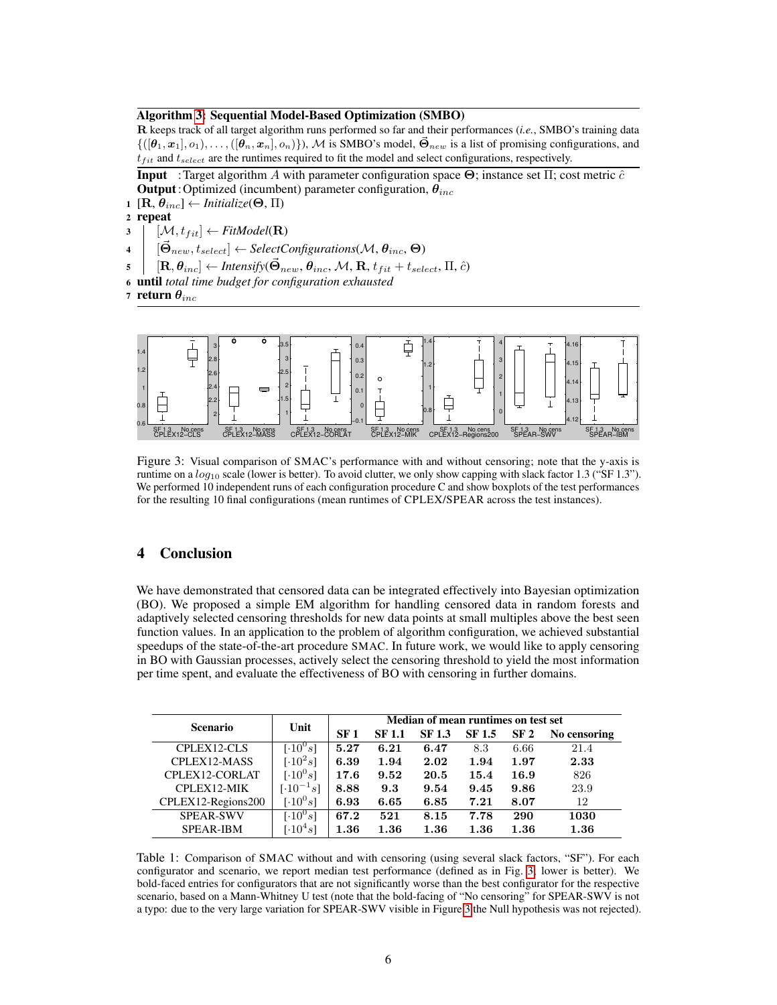#### Algorithm [3:](#page-5-2) Sequential Model-Based Optimization (SMBO)

R keeps track of all target algorithm runs performed so far and their performances (*i.e.*, SMBO's training data  $\{([\boldsymbol{\theta}_1, \boldsymbol{x}_1], o_1), \ldots, ([\boldsymbol{\theta}_n, \boldsymbol{x}_n], o_n)\}\)$ , M is SMBO's model,  $\vec{\Theta}_{new}$  is a list of promising configurations, and  $t_{fit}$  and  $t_{select}$  are the runtimes required to fit the model and select configurations, respectively.

<span id="page-5-2"></span>**Input** :Target algorithm A with parameter configuration space  $\Theta$ ; instance set  $\Pi$ ; cost metric  $\hat{c}$ **Output**: Optimized (incumbent) parameter configuration,  $\theta_{inc}$ 

1  $[\mathbf{R}, \theta_{inc}] \leftarrow$  *Initialize*( $\Theta$ ,  $\Pi$ )

<sup>2</sup> repeat

 $\mathbf{3}$   $\begin{bmatrix} \mathcal{M}, t_{fit} \end{bmatrix} \leftarrow FitModel(\mathbf{R})$ 

 $\mathcal{A} \quad \big| \quad [\vec{\Theta}_{new}, t_{select}] \leftarrow SelectConfigurations(\mathcal{M}, \theta_{inc}, \Theta)$ 

- $\mathbf{s} \quad \big\vert \quad [\mathbf{R}, \pmb{\theta}_{inc}] \leftarrow$  *Intensify* $(\vec{\mathbf{\Theta}}_{new}, \pmb{\theta}_{inc}, \mathcal{M}, \mathbf{R}, t_{fit} + t_{select}, \Pi, \hat{c})$
- <sup>6</sup> until *total time budget for configuration exhausted*

7 return  $\theta_{inc}$ 



<span id="page-5-0"></span>Figure 3: Visual comparison of SMAC's performance with and without censoring; note that the y-axis is runtime on a  $log_{10}$  scale (lower is better). To avoid clutter, we only show capping with slack factor 1.3 ("SF 1.3"). We performed 10 independent runs of each configuration procedure C and show boxplots of the test performances for the resulting 10 final configurations (mean runtimes of CPLEX/SPEAR across the test instances).

### 4 Conclusion

We have demonstrated that censored data can be integrated effectively into Bayesian optimization (BO). We proposed a simple EM algorithm for handling censored data in random forests and adaptively selected censoring thresholds for new data points at small multiples above the best seen function values. In an application to the problem of algorithm configuration, we achieved substantial speedups of the state-of-the-art procedure SMAC. In future work, we would like to apply censoring in BO with Gaussian processes, actively select the censoring threshold to yield the most information per time spent, and evaluate the effectiveness of BO with censoring in further domains.

| <b>Scenario</b>    | Unit                            | Median of mean runtimes on test set |               |        |               |      |              |
|--------------------|---------------------------------|-------------------------------------|---------------|--------|---------------|------|--------------|
|                    |                                 | SF <sub>1</sub>                     | <b>SF 1.1</b> | SF 1.3 | <b>SF 1.5</b> | SF 2 | No censoring |
| CPLEX12-CLS        | [ $\cdot 10^{0}s$ ]             | 5.27                                | 6.21          | 6.47   | 8.3           | 6.66 | 21.4         |
| CPLEX12-MASS       | $[.10^2 s]$                     | 6.39                                | 1.94          | 2.02   | 1.94          | 1.97 | 2.33         |
| CPLEX12-CORLAT     | $[.10^{0}s]$                    | 17.6                                | 9.52          | 20.5   | 15.4          | 16.9 | 826          |
| CPLEX12-MIK        | $\lceil \cdot 10^{-1} s \rceil$ | 8.88                                | 9.3           | 9.54   | 9.45          | 9.86 | 23.9         |
| CPLEX12-Regions200 | [ $\cdot 10^{0}s$ ]             | 6.93                                | 6.65          | 6.85   | 7.21          | 8.07 | 12           |
| <b>SPEAR-SWV</b>   | [ $\cdot 10^{0}s$ ]             | 67.2                                | 521           | 8.15   | 7.78          | 290  | 1030         |
| <b>SPEAR-IBM</b>   | $\lceil \cdot 10^4 s \rceil$    | $1.36\,$                            | 1.36          | 1.36   | 1.36          | 1.36 | 1.36         |

<span id="page-5-1"></span>Table 1: Comparison of SMAC without and with censoring (using several slack factors, "SF"). For each configurator and scenario, we report median test performance (defined as in Fig. [3;](#page-5-0) lower is better). We bold-faced entries for configurators that are not significantly worse than the best configurator for the respective scenario, based on a Mann-Whitney U test (note that the bold-facing of "No censoring" for SPEAR-SWV is not a typo: due to the very large variation for SPEAR-SWV visible in Figure [3](#page-5-0) the Null hypothesis was not rejected).